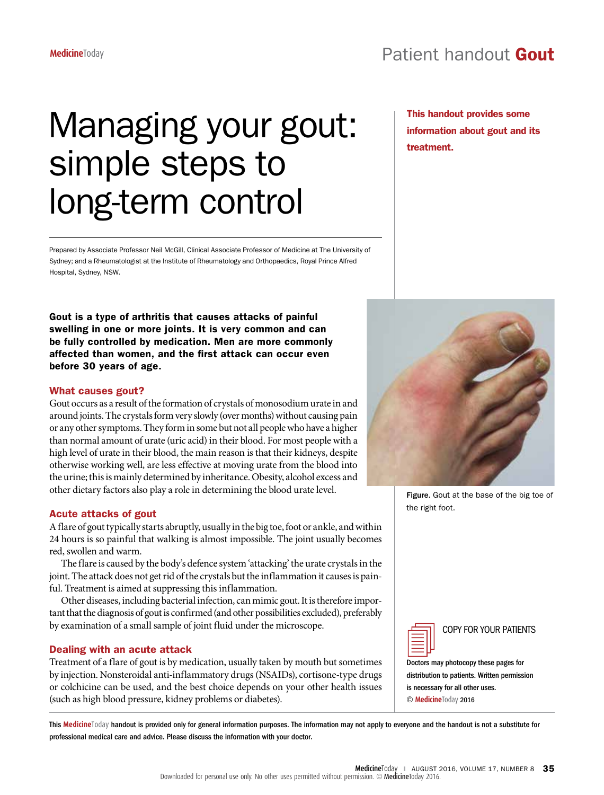This handout provides some information about gout and its

treatment.

# Managing your gout: simple steps to long-term control

Prepared by Associate Professor Neil McGill, Clinical Associate Professor of Medicine at The University of Sydney; and a Rheumatologist at the Institute of Rheumatology and Orthopaedics, Royal Prince Alfred Hospital, Sydney, NSW.

Gout is a type of arthritis that causes attacks of painful swelling in one or more joints. It is very common and can be fully controlled by medication. Men are more commonly affected than women, and the first attack can occur even before 30 years of age.

#### What causes gout?

Gout occurs as a result of the formation of crystals of monosodium urate in and around joints. The crystals form very slowly (over months) without causing pain or any other symptoms. They form in some but not all people who have a higher than normal amount of urate (uric acid) in their blood. For most people with a high level of urate in their blood, the main reason is that their kidneys, despite otherwise working well, are less effective at moving urate from the blood into the urine; this is mainly determined by inheritance. Obesity, alcohol excess and other dietary factors also play a role in determining the blood urate level.

#### Acute attacks of gout

A flare of gout typically starts abruptly, usually in the big toe, foot or ankle, and within 24 hours is so painful that walking is almost impossible. The joint usually becomes red, swollen and warm.

The flare is caused by the body's defence system 'attacking' the urate crystals in the joint. The attack does not get rid of the crystals but the inflammation it causes is painful. Treatment is aimed at suppressing this inflammation.

Other diseases, including bacterial infection, can mimic gout. It is therefore important that the diagnosis of gout is confirmed (and other possibilities excluded), preferably by examination of a small sample of joint fluid under the microscope.

## Dealing with an acute attack

Treatment of a flare of gout is by medication, usually taken by mouth but sometimes by injection. Nonsteroidal anti-inflammatory drugs (NSAIDs), cortisone-type drugs or colchicine can be used, and the best choice depends on your other health issues (such as high blood pressure, kidney problems or diabetes).



Figure. Gout at the base of the big toe of the right foot.

COPY FOR YOUR PATIENTS

Doctors may photocopy these pages for distribution to patients. Written permission is necessary for all other uses. © **Medicine**Today 2016

This **Medicine**Today handout is provided only for general information purposes. The information may not apply to everyone and the handout is not a substitute for professional medical care and advice. Please discuss the information with your doctor.